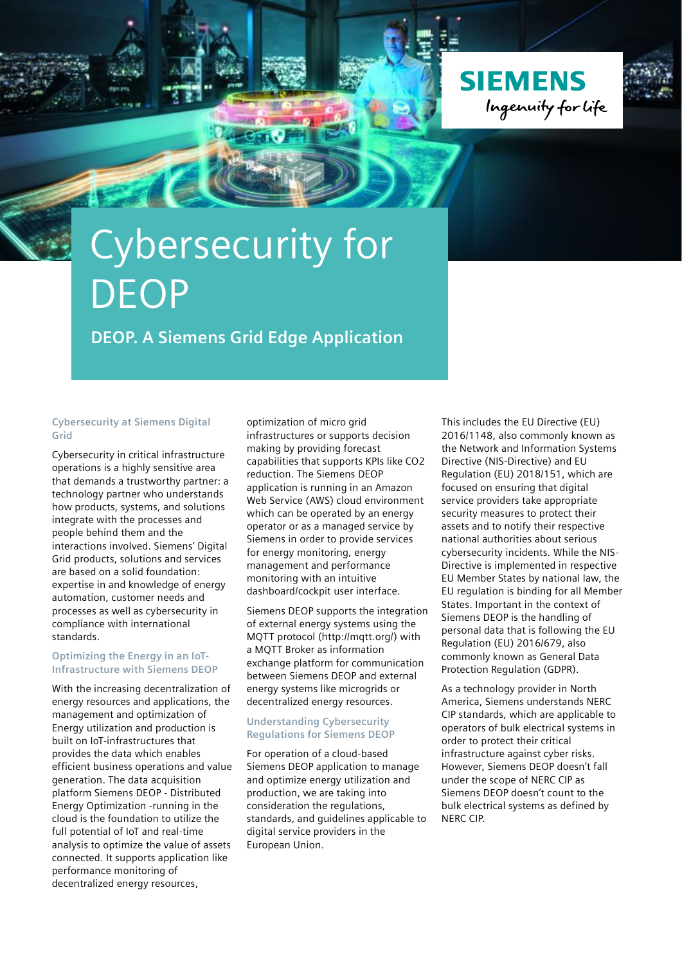



### **DEOP. A Siemens Grid Edge Application**

#### **Cybersecurity at Siemens Digital Grid**

Cybersecurity in critical infrastructure operations is a highly sensitive area that demands a trustworthy partner: a technology partner who understands how products, systems, and solutions integrate with the processes and people behind them and the interactions involved. Siemens' Digital Grid products, solutions and services are based on a solid foundation: expertise in and knowledge of energy automation, customer needs and processes as well as cybersecurity in compliance with international standards.

#### **Optimizing the Energy in an IoT-Infrastructure with Siemens DEOP**

With the increasing decentralization of energy resources and applications, the management and optimization of Energy utilization and production is built on IoT-infrastructures that provides the data which enables efficient business operations and value generation. The data acquisition platform Siemens DEOP - Distributed Energy Optimization -running in the cloud is the foundation to utilize the full potential of IoT and real-time analysis to optimize the value of assets connected. It supports application like performance monitoring of decentralized energy resources,

optimization of micro grid infrastructures or supports decision making by providing forecast capabilities that supports KPIs like CO2 reduction. The Siemens DEOP application is running in an Amazon Web Service (AWS) cloud environment which can be operated by an energy operator or as a managed service by Siemens in order to provide services for energy monitoring, energy management and performance monitoring with an intuitive dashboard/cockpit user interface.

Siemens DEOP supports the integration of external energy systems using the MQTT protocol (http://mqtt.org/) with a MQTT Broker as information exchange platform for communication between Siemens DEOP and external energy systems like microgrids or decentralized energy resources.

#### **Understanding Cybersecurity Regulations for Siemens DEOP**

For operation of a cloud-based Siemens DEOP application to manage and optimize energy utilization and production, we are taking into consideration the regulations, standards, and guidelines applicable to digital service providers in the European Union.

This includes the EU Directive (EU) 2016/1148, also commonly known as the Network and Information Systems Directive (NIS-Directive) and EU Regulation (EU) 2018/151, which are focused on ensuring that digital service providers take appropriate security measures to protect their assets and to notify their respective national authorities about serious cybersecurity incidents. While the NIS-Directive is implemented in respective EU Member States by national law, the EU regulation is binding for all Member States. Important in the context of Siemens DEOP is the handling of personal data that is following the EU Regulation (EU) 2016/679, also commonly known as General Data Protection Regulation (GDPR).

As a technology provider in North America, Siemens understands NERC CIP standards, which are applicable to operators of bulk electrical systems in order to protect their critical infrastructure against cyber risks. However, Siemens DEOP doesn't fall under the scope of NERC CIP as Siemens DEOP doesn't count to the bulk electrical systems as defined by NERC CIP.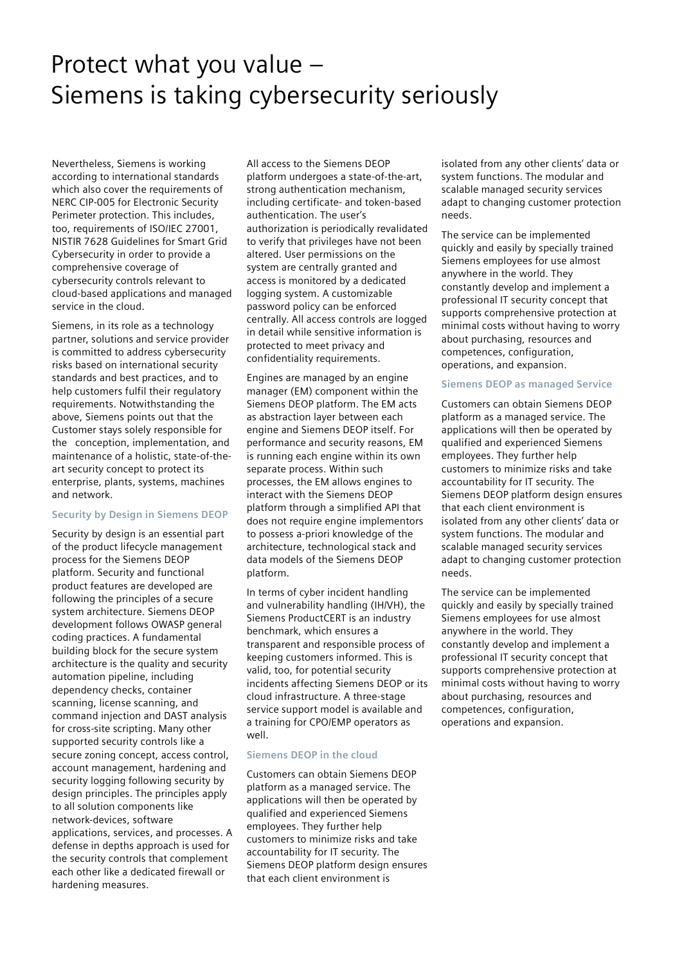## Protect what you value – Siemens is taking cybersecurity seriously

Nevertheless, Siemens is working according to international standards which also cover the requirements of NERC CIP-005 for Electronic Security Perimeter protection. This includes, too, requirements of ISO/IEC 27001, NISTIR 7628 Guidelines for Smart Grid Cybersecurity in order to provide a comprehensive coverage of cybersecurity controls relevant to cloud-based applications and managed service in the cloud.

Siemens, in its role as a technology partner, solutions and service provider is committed to address cybersecurity risks based on international security standards and best practices, and to help customers fulfil their regulatory requirements. Notwithstanding the above, Siemens points out that the Customer stays solely responsible for the conception, implementation, and maintenance of a holistic, state-of-theart security concept to protect its enterprise, plants, systems, machines and network.

#### **Security by Design in Siemens DEOP**

Security by design is an essential part of the product lifecycle management process for the Siemens DEOP platform. Security and functional product features are developed are following the principles of a secure system architecture. Siemens DEOP development follows OWASP general coding practices. A fundamental building block for the secure system architecture is the quality and security automation pipeline, including dependency checks, container scanning, license scanning, and command injection and DAST analysis for cross-site scripting. Many other supported security controls like a secure zoning concept, access control, account management, hardening and security logging following security by design principles. The principles apply to all solution components like network-devices, software applications, services, and processes. A defense in depths approach is used for the security controls that complement each other like a dedicated firewall or hardening measures.

All access to the Siemens DEOP platform undergoes a state-of-the-art, strong authentication mechanism, including certificate- and token-based authentication. The user's authorization is periodically revalidated to verify that privileges have not been altered. User permissions on the system are centrally granted and access is monitored by a dedicated logging system. A customizable password policy can be enforced centrally. All access controls are logged in detail while sensitive information is protected to meet privacy and confidentiality requirements.

Engines are managed by an engine manager (EM) component within the Siemens DEOP platform. The EM acts as abstraction layer between each engine and Siemens DEOP itself. For performance and security reasons, EM is running each engine within its own separate process. Within such processes, the EM allows engines to interact with the Siemens DEOP platform through a simplified API that does not require engine implementors to possess a-priori knowledge of the architecture, technological stack and data models of the Siemens DEOP platform.

In terms of cyber incident handling and vulnerability handling (IH/VH), the Siemens ProductCERT is an industry benchmark, which ensures a transparent and responsible process of keeping customers informed. This is valid, too, for potential security incidents affecting Siemens DEOP or its cloud infrastructure. A three-stage service support model is available and a training for CPO/EMP operators as well.

#### **Siemens DEOP in the cloud**

Customers can obtain Siemens DEOP platform as a managed service. The applications will then be operated by qualified and experienced Siemens employees. They further help customers to minimize risks and take accountability for IT security. The Siemens DEOP platform design ensures that each client environment is

isolated from any other clients' data or system functions. The modular and scalable managed security services adapt to changing customer protection needs.

The service can be implemented quickly and easily by specially trained Siemens employees for use almost anywhere in the world. They constantly develop and implement a professional IT security concept that supports comprehensive protection at minimal costs without having to worry about purchasing, resources and competences, configuration, operations, and expansion.

#### **Siemens DEOP as managed Service**

Customers can obtain Siemens DEOP platform as a managed service. The applications will then be operated by qualified and experienced Siemens employees. They further help customers to minimize risks and take accountability for IT security. The Siemens DEOP platform design ensures that each client environment is isolated from any other clients' data or system functions. The modular and scalable managed security services adapt to changing customer protection needs.

The service can be implemented quickly and easily by specially trained Siemens employees for use almost anywhere in the world. They constantly develop and implement a professional IT security concept that supports comprehensive protection at minimal costs without having to worry about purchasing, resources and competences, configuration, operations and expansion.